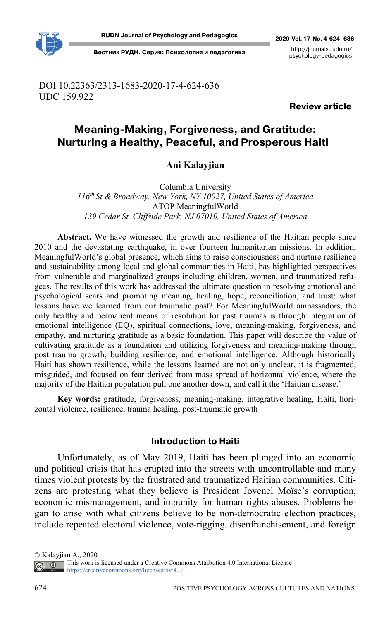

**Вестник РУДН. Серия: Психология и педагогика** http://journals.rudn.ru/

DOI 10.22363/2313-1683-2020-17-4-624-636 UDC 159.922

**Review article**

# **Meaning-Making, Forgiveness, and Gratitude: Nurturing a Healthy, Peaceful, and Prosperous Haiti 1**

## **Ani Kalayjian**

Columbia University *116th St & Broadway, New York, NY 10027, United States of America*  ATOP MeaningfulWorld *139 Cedar St, Cliffside Park, NJ 07010, United States of America* 

**Abstract.** We have witnessed the growth and resilience of the Haitian people since 2010 and the devastating earthquake, in over fourteen humanitarian missions. In addition, MeaningfulWorld's global presence, which aims to raise consciousness and nurture resilience and sustainability among local and global communities in Haiti, has highlighted perspectives from vulnerable and marginalized groups including children, women, and traumatized refugees. The results of this work has addressed the ultimate question in resolving emotional and psychological scars and promoting meaning, healing, hope, reconciliation, and trust: what lessons have we learned from our traumatic past? For MeaningfulWorld ambassadors, the only healthy and permanent means of resolution for past traumas is through integration of emotional intelligence (EQ), spiritual connections, love, meaning-making, forgiveness, and empathy, and nurturing gratitude as a basic foundation. This paper will describe the value of cultivating gratitude as a foundation and utilizing forgiveness and meaning-making through post trauma growth, building resilience, and emotional intelligence. Although historically Haiti has shown resilience, while the lessons learned are not only unclear, it is fragmented, misguided, and focused on fear derived from mass spread of horizontal violence, where the majority of the Haitian population pull one another down, and call it the 'Haitian disease.'

**Key words:** gratitude, forgiveness, meaning-making, integrative healing, Haiti, horizontal violence, resilience, trauma healing, post-traumatic growth

### **Introduction to Haiti**

Unfortunately, as of May 2019, Haiti has been plunged into an economic and political crisis that has erupted into the streets with uncontrollable and many times violent protests by the frustrated and traumatized Haitian communities. Citizens are protesting what they believe is President Jovenel Moïse's corruption, economic mismanagement, and impunity for human rights abuses. Problems began to arise with what citizens believe to be non-democratic election practices, include repeated electoral violence, vote-rigging, disenfranchisement, and foreign

© Kalayjian A., 2020

 $\overline{a}$ 

This work is licensed under a Creative Commons Attribution 4.0 International License https://creativecommons.org/licenses/by/4.0/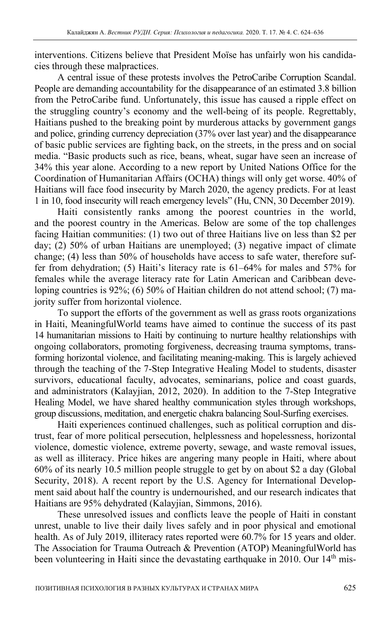interventions. Citizens believe that President Moïse has unfairly won his candidacies through these malpractices.

A central issue of these protests involves the PetroCaribe Corruption Scandal. People are demanding accountability for the disappearance of an estimated 3.8 billion from the PetroCaribe fund. Unfortunately, this issue has caused a ripple effect on the struggling country's economy and the well-being of its people. Regrettably, Haitians pushed to the breaking point by murderous attacks by government gangs and police, grinding currency depreciation (37% over last year) and the disappearance of basic public services are fighting back, on the streets, in the press and on social media. "Basic products such as rice, beans, wheat, sugar have seen an increase of 34% this year alone. According to a new report by United Nations Office for the Coordination of Humanitarian Affairs (OCHA) things will only get worse. 40% of Haitians will face food insecurity by March 2020, the agency predicts. For at least 1 in 10, food insecurity will reach emergency levels" (Hu, CNN, 30 December 2019).

Haiti consistently ranks among the poorest countries in the world, and the poorest country in the Americas. Below are some of the top challenges facing Haitian communities: (1) two out of three Haitians live on less than \$2 per day; (2) 50% of urban Haitians are unemployed; (3) negative impact of climate change; (4) less than 50% of households have access to safe water, therefore suffer from dehydration; (5) Haiti's literacy rate is 61–64% for males and 57% for females while the average literacy rate for Latin American and Caribbean developing countries is 92%; (6) 50% of Haitian children do not attend school; (7) majority suffer from horizontal violence.

To support the efforts of the government as well as grass roots organizations in Haiti, MeaningfulWorld teams have aimed to continue the success of its past 14 humanitarian missions to Haiti by continuing to nurture healthy relationships with ongoing collaborators, promoting forgiveness, decreasing trauma symptoms, transforming horizontal violence, and facilitating meaning-making. This is largely achieved through the teaching of the 7-Step Integrative Healing Model to students, disaster survivors, educational faculty, advocates, seminarians, police and coast guards, and administrators (Kalayjian, 2012, 2020). In addition to the 7-Step Integrative Healing Model, we have shared healthy communication styles through workshops, group discussions, meditation, and energetic chakra balancing Soul-Surfing exercises.

Haiti experiences continued challenges, such as political corruption and distrust, fear of more political persecution, helplessness and hopelessness, horizontal violence, domestic violence, extreme poverty, sewage, and waste removal issues, as well as illiteracy. Price hikes are angering many people in Haiti, where about 60% of its nearly 10.5 million people struggle to get by on about \$2 a day (Global Security, 2018). A recent report by the U.S. Agency for International Development said about half the country is undernourished, and our research indicates that Haitians are 95% dehydrated (Kalayjian, Simmons, 2016).

These unresolved issues and conflicts leave the people of Haiti in constant unrest, unable to live their daily lives safely and in poor physical and emotional health. As of July 2019, illiteracy rates reported were 60.7% for 15 years and older. The Association for Trauma Outreach & Prevention (ATOP) MeaningfulWorld has been volunteering in Haiti since the devastating earthquake in 2010. Our 14<sup>th</sup> mis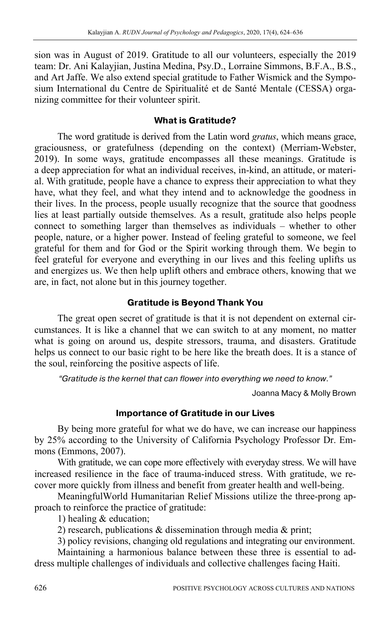sion was in August of 2019. Gratitude to all our volunteers, especially the 2019 team: Dr. Ani Kalayjian, Justina Medina, Psy.D., Lorraine Simmons, B.F.A., B.S., and Art Jaffe. We also extend special gratitude to Father Wismick and the Symposium International du Centre de Spiritualité et de Santé Mentale (CESSA) organizing committee for their volunteer spirit.

### **What is Gratitude?**

The word gratitude is derived from the Latin word *gratus*, which means grace, graciousness, or gratefulness (depending on the context) (Merriam-Webster, 2019). In some ways, gratitude encompasses all these meanings. Gratitude is a deep appreciation for what an individual receives, in-kind, an attitude, or material. With gratitude, people have a chance to express their appreciation to what they have, what they feel, and what they intend and to acknowledge the goodness in their lives. In the process, people usually recognize that the source that goodness lies at least partially outside themselves. As a result, gratitude also helps people connect to something larger than themselves as individuals – whether to other people, nature, or a higher power. Instead of feeling grateful to someone, we feel grateful for them and for God or the Spirit working through them. We begin to feel grateful for everyone and everything in our lives and this feeling uplifts us and energizes us. We then help uplift others and embrace others, knowing that we are, in fact, not alone but in this journey together.

# **Gratitude is Beyond Thank You**

The great open secret of gratitude is that it is not dependent on external circumstances. It is like a channel that we can switch to at any moment, no matter what is going on around us, despite stressors, trauma, and disasters. Gratitude helps us connect to our basic right to be here like the breath does. It is a stance of the soul, reinforcing the positive aspects of life.

"Gratitude is the kernel that can flower into everything we need to know."

Joanna Macy & Molly Brown

# **Importance of Gratitude in our Lives**

By being more grateful for what we do have, we can increase our happiness by 25% according to the University of California Psychology Professor Dr. Emmons (Emmons, 2007).

With gratitude, we can cope more effectively with everyday stress. We will have increased resilience in the face of trauma-induced stress. With gratitude, we recover more quickly from illness and benefit from greater health and well-being.

MeaningfulWorld Humanitarian Relief Missions utilize the three-prong approach to reinforce the practice of gratitude:

1) healing & education;

2) research, publications & dissemination through media & print;

3) policy revisions, changing old regulations and integrating our environment.

Maintaining a harmonious balance between these three is essential to address multiple challenges of individuals and collective challenges facing Haiti.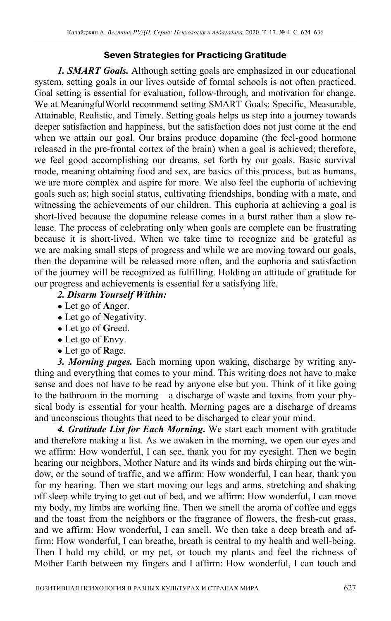## **Seven Strategies for Practicing Gratitude**

*1. SMART Goals.* Although setting goals are emphasized in our educational system, setting goals in our lives outside of formal schools is not often practiced. Goal setting is essential for evaluation, follow-through, and motivation for change. We at MeaningfulWorld recommend setting SMART Goals: Specific, Measurable, Attainable, Realistic, and Timely. Setting goals helps us step into a journey towards deeper satisfaction and happiness, but the satisfaction does not just come at the end when we attain our goal. Our brains produce dopamine (the feel-good hormone released in the pre-frontal cortex of the brain) when a goal is achieved; therefore, we feel good accomplishing our dreams, set forth by our goals. Basic survival mode, meaning obtaining food and sex, are basics of this process, but as humans, we are more complex and aspire for more. We also feel the euphoria of achieving goals such as; high social status, cultivating friendships, bonding with a mate, and witnessing the achievements of our children. This euphoria at achieving a goal is short-lived because the dopamine release comes in a burst rather than a slow release. The process of celebrating only when goals are complete can be frustrating because it is short-lived. When we take time to recognize and be grateful as we are making small steps of progress and while we are moving toward our goals, then the dopamine will be released more often, and the euphoria and satisfaction of the journey will be recognized as fulfilling. Holding an attitude of gratitude for our progress and achievements is essential for a satisfying life.

## *2. Disarm Yourself Within:*

- Let go of **A**nger.
- Let go of **N**egativity.
- Let go of **G**reed.
- Let go of **E**nvy.
- Let go of **R**age.

*3. Morning pages.* Each morning upon waking, discharge by writing anything and everything that comes to your mind. This writing does not have to make sense and does not have to be read by anyone else but you. Think of it like going to the bathroom in the morning – a discharge of waste and toxins from your physical body is essential for your health. Morning pages are a discharge of dreams and unconscious thoughts that need to be discharged to clear your mind.

*4. Gratitude List for Each Morning***.** We start each moment with gratitude and therefore making a list. As we awaken in the morning, we open our eyes and we affirm: How wonderful, I can see, thank you for my eyesight. Then we begin hearing our neighbors, Mother Nature and its winds and birds chirping out the window, or the sound of traffic, and we affirm: How wonderful, I can hear, thank you for my hearing. Then we start moving our legs and arms, stretching and shaking off sleep while trying to get out of bed, and we affirm: How wonderful, I can move my body, my limbs are working fine. Then we smell the aroma of coffee and eggs and the toast from the neighbors or the fragrance of flowers, the fresh-cut grass, and we affirm: How wonderful, I can smell. We then take a deep breath and affirm: How wonderful, I can breathe, breath is central to my health and well-being. Then I hold my child, or my pet, or touch my plants and feel the richness of Mother Earth between my fingers and I affirm: How wonderful, I can touch and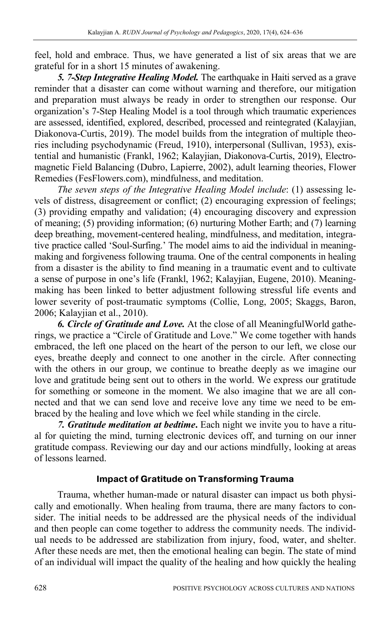feel, hold and embrace. Thus, we have generated a list of six areas that we are grateful for in a short 15 minutes of awakening.

*5. 7-Step Integrative Healing Model.* The earthquake in Haiti served as a grave reminder that a disaster can come without warning and therefore, our mitigation and preparation must always be ready in order to strengthen our response. Our organization's 7-Step Healing Model is a tool through which traumatic experiences are assessed, identified, explored, described, processed and reintegrated (Kalayjian, Diakonova-Curtis, 2019). The model builds from the integration of multiple theories including psychodynamic (Freud, 1910), interpersonal (Sullivan, 1953), existential and humanistic (Frankl, 1962; Kalayjian, Diakonova-Curtis, 2019), Electromagnetic Field Balancing (Dubro, Lapierre, 2002), adult learning theories, Flower Remedies (FesFlowers.com), mindfulness, and meditation.

*The seven steps of the Integrative Healing Model include*: (1) assessing levels of distress, disagreement or conflict; (2) encouraging expression of feelings; (3) providing empathy and validation; (4) encouraging discovery and expression of meaning; (5) providing information; (6) nurturing Mother Earth; and (7) learning deep breathing, movement-centered healing, mindfulness, and meditation, integrative practice called 'Soul-Surfing.' The model aims to aid the individual in meaningmaking and forgiveness following trauma. One of the central components in healing from a disaster is the ability to find meaning in a traumatic event and to cultivate a sense of purpose in one's life (Frankl, 1962; Kalayjian, Eugene, 2010). Meaningmaking has been linked to better adjustment following stressful life events and lower severity of post-traumatic symptoms (Collie, Long, 2005; Skaggs, Baron, 2006; Kalayjian et al., 2010).

*6. Circle of Gratitude and Love.* At the close of all MeaningfulWorld gatherings, we practice a "Circle of Gratitude and Love." We come together with hands embraced, the left one placed on the heart of the person to our left, we close our eyes, breathe deeply and connect to one another in the circle. After connecting with the others in our group, we continue to breathe deeply as we imagine our love and gratitude being sent out to others in the world. We express our gratitude for something or someone in the moment. We also imagine that we are all connected and that we can send love and receive love any time we need to be embraced by the healing and love which we feel while standing in the circle.

*7. Gratitude meditation at bedtime***.** Each night we invite you to have a ritual for quieting the mind, turning electronic devices off, and turning on our inner gratitude compass. Reviewing our day and our actions mindfully, looking at areas of lessons learned.

# **Impact of Gratitude on Transforming Trauma**

Trauma, whether human-made or natural disaster can impact us both physically and emotionally. When healing from trauma, there are many factors to consider. The initial needs to be addressed are the physical needs of the individual and then people can come together to address the community needs. The individual needs to be addressed are stabilization from injury, food, water, and shelter. After these needs are met, then the emotional healing can begin. The state of mind of an individual will impact the quality of the healing and how quickly the healing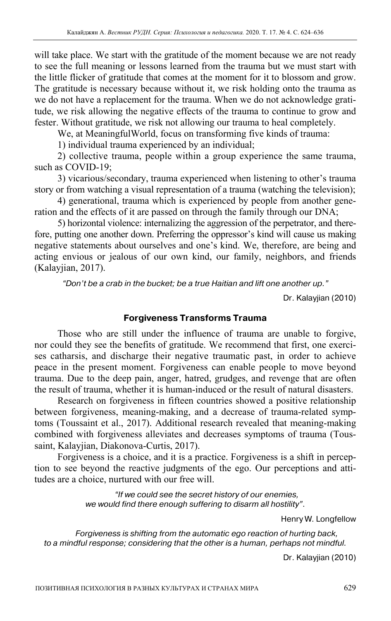will take place. We start with the gratitude of the moment because we are not ready to see the full meaning or lessons learned from the trauma but we must start with the little flicker of gratitude that comes at the moment for it to blossom and grow. The gratitude is necessary because without it, we risk holding onto the trauma as we do not have a replacement for the trauma. When we do not acknowledge gratitude, we risk allowing the negative effects of the trauma to continue to grow and fester. Without gratitude, we risk not allowing our trauma to heal completely.

We, at MeaningfulWorld, focus on transforming five kinds of trauma:

1) individual trauma experienced by an individual;

2) collective trauma, people within a group experience the same trauma, such as COVID-19;

3) vicarious/secondary, trauma experienced when listening to other's trauma story or from watching a visual representation of a trauma (watching the television);

4) generational, trauma which is experienced by people from another generation and the effects of it are passed on through the family through our DNA;

5) horizontal violence: internalizing the aggression of the perpetrator, and therefore, putting one another down. Preferring the oppressor's kind will cause us making negative statements about ourselves and one's kind. We, therefore, are being and acting envious or jealous of our own kind, our family, neighbors, and friends (Kalayjian, 2017).

"Don't be a crab in the bucket; be a true Haitian and lift one another up."

Dr. Kalayjian (2010)

# **Forgiveness Transforms Trauma**

Those who are still under the influence of trauma are unable to forgive, nor could they see the benefits of gratitude. We recommend that first, one exercises catharsis, and discharge their negative traumatic past, in order to achieve peace in the present moment. Forgiveness can enable people to move beyond trauma. Due to the deep pain, anger, hatred, grudges, and revenge that are often the result of trauma, whether it is human-induced or the result of natural disasters.

Research on forgiveness in fifteen countries showed a positive relationship between forgiveness, meaning-making, and a decrease of trauma-related symptoms (Toussaint et al., 2017). Additional research revealed that meaning-making combined with forgiveness alleviates and decreases symptoms of trauma (Toussaint, Kalayjian, Diakonova-Curtis, 2017).

Forgiveness is a choice, and it is a practice. Forgiveness is a shift in perception to see beyond the reactive judgments of the ego. Our perceptions and attitudes are a choice, nurtured with our free will.

> "If we could see the secret history of our enemies, we would find there enough suffering to disarm all hostility".

> > Henry W. Longfellow

Forgiveness is shifting from the automatic ego reaction of hurting back, to a mindful response; considering that the other is a human, perhaps not mindful.

Dr. Kalayjian (2010)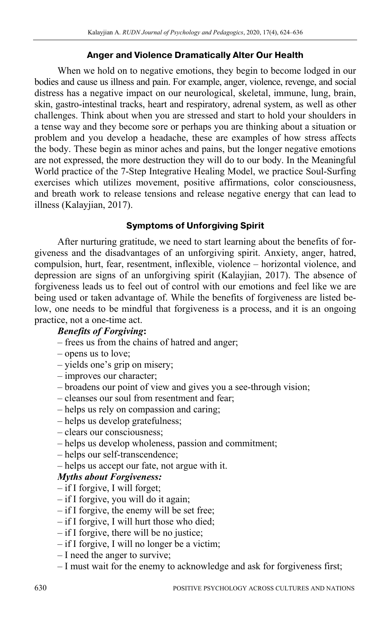## **Anger and Violence Dramatically Alter Our Health**

When we hold on to negative emotions, they begin to become lodged in our bodies and cause us illness and pain. For example, anger, violence, revenge, and social distress has a negative impact on our neurological, skeletal, immune, lung, brain, skin, gastro-intestinal tracks, heart and respiratory, adrenal system, as well as other challenges. Think about when you are stressed and start to hold your shoulders in a tense way and they become sore or perhaps you are thinking about a situation or problem and you develop a headache, these are examples of how stress affects the body. These begin as minor aches and pains, but the longer negative emotions are not expressed, the more destruction they will do to our body. In the Meaningful World practice of the 7-Step Integrative Healing Model, we practice Soul-Surfing exercises which utilizes movement, positive affirmations, color consciousness, and breath work to release tensions and release negative energy that can lead to illness (Kalayjian, 2017).

# **Symptoms of Unforgiving Spirit**

After nurturing gratitude, we need to start learning about the benefits of forgiveness and the disadvantages of an unforgiving spirit. Anxiety, anger, hatred, compulsion, hurt, fear, resentment, inflexible, violence – horizontal violence, and depression are signs of an unforgiving spirit (Kalayjian, 2017). The absence of forgiveness leads us to feel out of control with our emotions and feel like we are being used or taken advantage of. While the benefits of forgiveness are listed below, one needs to be mindful that forgiveness is a process, and it is an ongoing practice, not a one-time act.

# *Benefits of Forgiving***:**

- frees us from the chains of hatred and anger;
- opens us to love;
- yields one's grip on misery;
- improves our character;
- broadens our point of view and gives you a see-through vision;
- cleanses our soul from resentment and fear;
- helps us rely on compassion and caring;
- helps us develop gratefulness;
- clears our consciousness;
- helps us develop wholeness, passion and commitment;
- helps our self-transcendence;
- helps us accept our fate, not argue with it.

# *Myths about Forgiveness:*

- if I forgive, I will forget;
- if I forgive, you will do it again;
- if I forgive, the enemy will be set free;
- if I forgive, I will hurt those who died;
- if I forgive, there will be no justice;
- if I forgive, I will no longer be a victim;
- I need the anger to survive;
- I must wait for the enemy to acknowledge and ask for forgiveness first;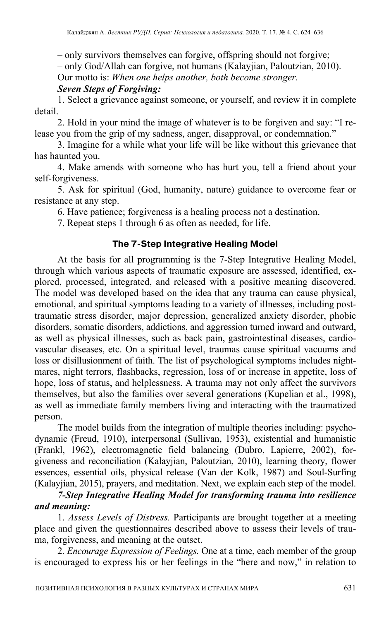– only survivors themselves can forgive, offspring should not forgive; – only God/Allah can forgive, not humans (Kalayjian, Paloutzian, 2010). Our motto is: *When one helps another, both become stronger.*

# *Seven Steps of Forgiving:*

1. Select a grievance against someone, or yourself, and review it in complete detail.

2. Hold in your mind the image of whatever is to be forgiven and say: "I release you from the grip of my sadness, anger, disapproval, or condemnation."

3. Imagine for a while what your life will be like without this grievance that has haunted you.

4. Make amends with someone who has hurt you, tell a friend about your self-forgiveness.

5. Ask for spiritual (God, humanity, nature) guidance to overcome fear or resistance at any step.

6. Have patience; forgiveness is a healing process not a destination.

7. Repeat steps 1 through 6 as often as needed, for life.

### **The 7-Step Integrative Healing Model**

At the basis for all programming is the 7-Step Integrative Healing Model, through which various aspects of traumatic exposure are assessed, identified, explored, processed, integrated, and released with a positive meaning discovered. The model was developed based on the idea that any trauma can cause physical, emotional, and spiritual symptoms leading to a variety of illnesses, including posttraumatic stress disorder, major depression, generalized anxiety disorder, phobic disorders, somatic disorders, addictions, and aggression turned inward and outward, as well as physical illnesses, such as back pain, gastrointestinal diseases, cardiovascular diseases, etc. On a spiritual level, traumas cause spiritual vacuums and loss or disillusionment of faith. The list of psychological symptoms includes nightmares, night terrors, flashbacks, regression, loss of or increase in appetite, loss of hope, loss of status, and helplessness. A trauma may not only affect the survivors themselves, but also the families over several generations (Kupelian et al., 1998), as well as immediate family members living and interacting with the traumatized person.

The model builds from the integration of multiple theories including: psychodynamic (Freud, 1910), interpersonal (Sullivan, 1953), existential and humanistic (Frankl, 1962), electromagnetic field balancing (Dubro, Lapierre, 2002), forgiveness and reconciliation (Kalayjian, Paloutzian, 2010), learning theory, flower essences, essential oils, physical release (Van der Kolk, 1987) and Soul-Surfing (Kalayjian, 2015), prayers, and meditation. Next, we explain each step of the model.

# *7-Step Integrative Healing Model for transforming trauma into resilience and meaning:*

1. *Assess Levels of Distress.* Participants are brought together at a meeting place and given the questionnaires described above to assess their levels of trauma, forgiveness, and meaning at the outset.

2. *Encourage Expression of Feelings.* One at a time, each member of the group is encouraged to express his or her feelings in the "here and now," in relation to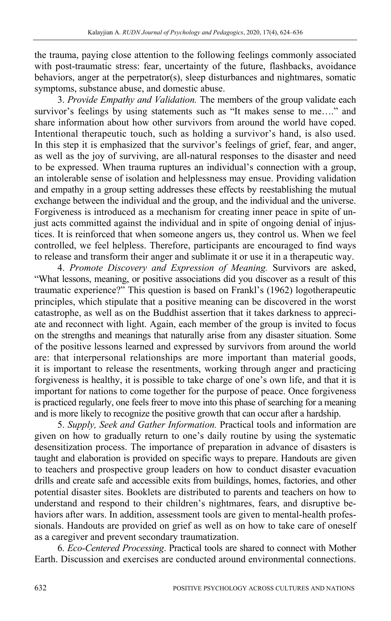the trauma, paying close attention to the following feelings commonly associated with post-traumatic stress: fear, uncertainty of the future, flashbacks, avoidance behaviors, anger at the perpetrator(s), sleep disturbances and nightmares, somatic symptoms, substance abuse, and domestic abuse.

3. *Provide Empathy and Validation.* The members of the group validate each survivor's feelings by using statements such as "It makes sense to me…." and share information about how other survivors from around the world have coped. Intentional therapeutic touch, such as holding a survivor's hand, is also used. In this step it is emphasized that the survivor's feelings of grief, fear, and anger, as well as the joy of surviving, are all-natural responses to the disaster and need to be expressed. When trauma ruptures an individual's connection with a group, an intolerable sense of isolation and helplessness may ensue. Providing validation and empathy in a group setting addresses these effects by reestablishing the mutual exchange between the individual and the group, and the individual and the universe. Forgiveness is introduced as a mechanism for creating inner peace in spite of unjust acts committed against the individual and in spite of ongoing denial of injustices. It is reinforced that when someone angers us, they control us. When we feel controlled, we feel helpless. Therefore, participants are encouraged to find ways to release and transform their anger and sublimate it or use it in a therapeutic way.

4. *Promote Discovery and Expression of Meaning.* Survivors are asked, "What lessons, meaning, or positive associations did you discover as a result of this traumatic experience?" This question is based on Frankl's (1962) logotherapeutic principles, which stipulate that a positive meaning can be discovered in the worst catastrophe, as well as on the Buddhist assertion that it takes darkness to appreciate and reconnect with light. Again, each member of the group is invited to focus on the strengths and meanings that naturally arise from any disaster situation. Some of the positive lessons learned and expressed by survivors from around the world are: that interpersonal relationships are more important than material goods, it is important to release the resentments, working through anger and practicing forgiveness is healthy, it is possible to take charge of one's own life, and that it is important for nations to come together for the purpose of peace. Once forgiveness is practiced regularly, one feels freer to move into this phase of searching for a meaning and is more likely to recognize the positive growth that can occur after a hardship.

5. *Supply, Seek and Gather Information.* Practical tools and information are given on how to gradually return to one's daily routine by using the systematic desensitization process. The importance of preparation in advance of disasters is taught and elaboration is provided on specific ways to prepare. Handouts are given to teachers and prospective group leaders on how to conduct disaster evacuation drills and create safe and accessible exits from buildings, homes, factories, and other potential disaster sites. Booklets are distributed to parents and teachers on how to understand and respond to their children's nightmares, fears, and disruptive behaviors after wars. In addition, assessment tools are given to mental-health professionals. Handouts are provided on grief as well as on how to take care of oneself as a caregiver and prevent secondary traumatization.

6. *Eco-Centered Processing*. Practical tools are shared to connect with Mother Earth. Discussion and exercises are conducted around environmental connections.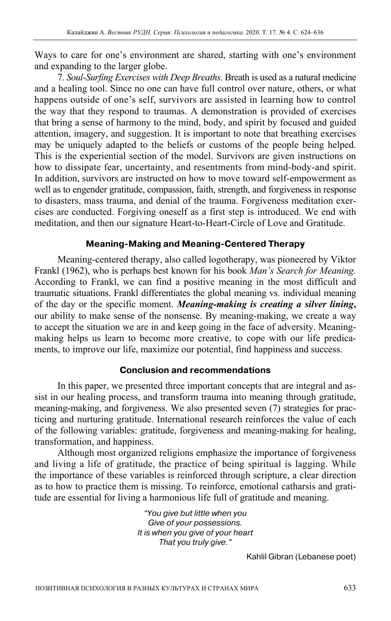Ways to care for one's environment are shared, starting with one's environment and expanding to the larger globe.

7. *Soul-Surfing Exercises with Deep Breaths.* Breath is used as a natural medicine and a healing tool. Since no one can have full control over nature, others, or what happens outside of one's self, survivors are assisted in learning how to control the way that they respond to traumas. A demonstration is provided of exercises that bring a sense of harmony to the mind, body, and spirit by focused and guided attention, imagery, and suggestion. It is important to note that breathing exercises may be uniquely adapted to the beliefs or customs of the people being helped. This is the experiential section of the model. Survivors are given instructions on how to dissipate fear, uncertainty, and resentments from mind-body-and spirit. In addition, survivors are instructed on how to move toward self-empowerment as well as to engender gratitude, compassion, faith, strength, and forgiveness in response to disasters, mass trauma, and denial of the trauma. Forgiveness meditation exercises are conducted. Forgiving oneself as a first step is introduced. We end with meditation, and then our signature Heart-to-Heart-Circle of Love and Gratitude.

## **Meaning-Making and Meaning-Centered Therapy**

Meaning-centered therapy, also called logotherapy, was pioneered by Viktor Frankl (1962), who is perhaps best known for his book *Man's Search for Meaning.*  According to Frankl, we can find a positive meaning in the most difficult and traumatic situations. Frankl differentiates the global meaning vs. individual meaning of the day or the specific moment. *Meaning-making is creating a silver lining***,**  our ability to make sense of the nonsense. By meaning-making, we create a way to accept the situation we are in and keep going in the face of adversity. Meaningmaking helps us learn to become more creative, to cope with our life predicaments, to improve our life, maximize our potential, find happiness and success.

### **Conclusion and recommendations**

In this paper, we presented three important concepts that are integral and assist in our healing process, and transform trauma into meaning through gratitude, meaning-making, and forgiveness. We also presented seven (7) strategies for practicing and nurturing gratitude. International research reinforces the value of each of the following variables: gratitude, forgiveness and meaning-making for healing, transformation, and happiness.

Although most organized religions emphasize the importance of forgiveness and living a life of gratitude, the practice of being spiritual is lagging. While the importance of these variables is reinforced through scripture, a clear direction as to how to practice them is missing. To reinforce, emotional catharsis and gratitude are essential for living a harmonious life full of gratitude and meaning.

> "You give but little when you Give of your possessions. It is when you give of your heart That you truly give."

> > Kahlil Gibran (Lebanese poet)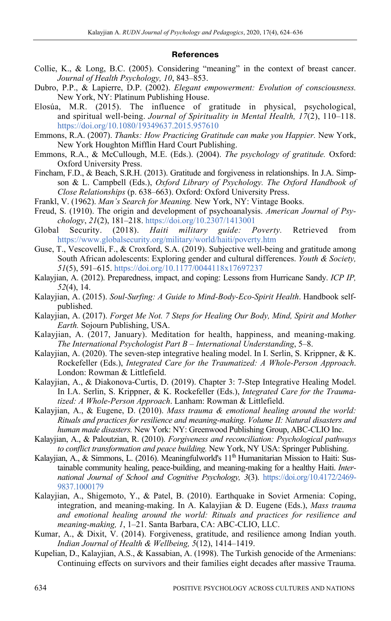#### **References**

- Collie, K., & Long, B.C. (2005). Considering "meaning" in the context of breast cancer. *Journal of Health Psychology, 10*, 843–853.
- Dubro, P.P., & Lapierre, D.P. (2002). *Elegant empowerment: Evolution of consciousness.* New York, NY: Platinum Publishing House.
- Elosúa, M.R. (2015). The influence of gratitude in physical, psychological, and spiritual well-being. *Journal of Spirituality in Mental Health, 17*(2), 110–118. https://doi.org/10.1080/19349637.2015.957610
- Emmons, R.A. (2007). *Thanks: How Practicing Gratitude can make you Happier.* New York, New York Houghton Mifflin Hard Court Publishing.
- Emmons, R.A., & McCullough, M.E. (Eds.). (2004). *The psychology of gratitude.* Oxford: Oxford University Press.
- Fincham, F.D., & Beach, S.R.H. (2013). Gratitude and forgiveness in relationships. In J.A. Simpson & L. Campbell (Eds.), *Oxford Library of Psychology. The Oxford Handbook of Close Relationships* (p. 638–663). Oxford: Oxford University Press.
- Frankl, V. (1962). *Man's Search for Meaning.* New York, NY: Vintage Books.
- Freud, S. (1910). The origin and development of psychoanalysis. *American Journal of Psychology*, *21*(2), 181–218. https://doi.org/10.2307/1413001
- Global Security. (2018). *Haiti military guide: Poverty.* Retrieved from https://www.globalsecurity.org/military/world/haiti/poverty.htm
- Guse, T., Vescovelli, F., & Croxford, S.A. (2019). Subjective well-being and gratitude among South African adolescents: Exploring gender and cultural differences. *Youth & Society, 51*(5), 591–615. https://doi.org/10.1177/0044118x17697237
- Kalayjian, A. (2012). Preparedness, impact, and coping: Lessons from Hurricane Sandy. *ICP IP, 52*(4), 14.
- Kalayjian, A. (2015). *Soul-Surfing: A Guide to Mind-Body-Eco-Spirit Health*. Handbook selfpublished.
- Kalayjian, A. (2017). *Forget Me Not. 7 Steps for Healing Our Body, Mind, Spirit and Mother Earth.* Sojourn Publishing, USA.
- Kalayjian, A. (2017, January). Meditation for health, happiness, and meaning-making*. The International Psychologist Part B – International Understanding*, 5–8.
- Kalayjian, A. (2020). The seven-step integrative healing model. In I. Serlin, S. Krippner, & K. Rockefeller (Eds.), *Integrated Care for the Traumatized: A Whole-Person Approach*. London: Rowman & Littlefield.
- Kalayjian, A., & Diakonova-Curtis, D. (2019). Chapter 3: 7-Step Integrative Healing Model. In I.A. Serlin, S. Krippner, & K. Rockefeller (Eds.), *Integrated Care for the Traumatized: A Whole-Person Approach*. Lanham: Rowman & Littlefield.
- Kalayjian, A., & Eugene, D. (2010). *Mass trauma & emotional healing around the world: Rituals and practices for resilience and meaning-making*. *Volume II: Natural disasters and human made disasters.* New York: NY: Greenwood Publishing Group, ABC-CLIO Inc.
- Kalayjian, A., & Paloutzian, R. (2010). *Forgiveness and reconciliation: Psychological pathways to conflict transformation and peace building.* New York, NY USA: Springer Publishing.
- Kalayjian, A., & Simmons, L. (2016). Meaningfulworld's  $11<sup>th</sup>$  Humanitarian Mission to Haiti: Sustainable community healing, peace-building, and meaning-making for a healthy Haiti. *International Journal of School and Cognitive Psychology, 3*(3). https://doi.org/10.4172/2469- 9837.1000179
- Kalayjian, A., Shigemoto, Y., & Patel, B. (2010). Earthquake in Soviet Armenia: Coping, integration, and meaning-making. In A. Kalayjian & D. Eugene (Eds.), *Mass trauma and emotional healing around the world: Rituals and practices for resilience and meaning-making, 1*, 1–21. Santa Barbara, CA: ABC-CLIO, LLC.
- Kumar, A., & Dixit, V. (2014). Forgiveness, gratitude, and resilience among Indian youth. *Indian Journal of Health & Wellbeing, 5*(12), 1414–1419.
- Kupelian, D., Kalayjian, A.S., & Kassabian, A. (1998). The Turkish genocide of the Armenians: Continuing effects on survivors and their families eight decades after massive Trauma.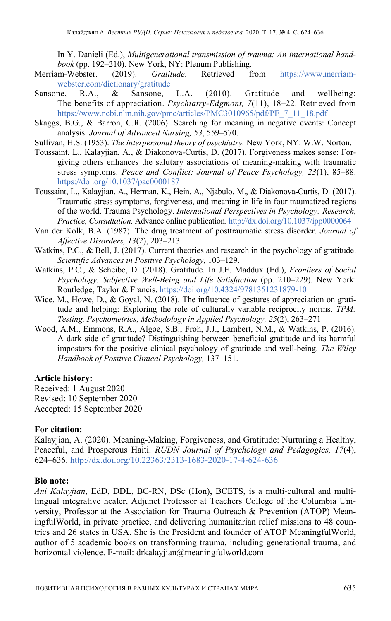In Y. Danieli (Ed.), *Multigenerational transmission of trauma: An international handbook* (pp. 192–210). New York, NY: Plenum Publishing.

- Merriam-Webster. (2019). *Gratitude*. Retrieved from https://www.merriamwebster.com/dictionary/gratitude
- Sansone, R.A., & Sansone, L.A. (2010). Gratitude and wellbeing: The benefits of appreciation. *Psychiatry-Edgmont, 7*(11), 18–22. Retrieved from https://www.ncbi.nlm.nih.gov/pmc/articles/PMC3010965/pdf/PE\_7\_11\_18.pdf
- Skaggs, B.G., & Barron, C.R. (2006). Searching for meaning in negative events: Concept analysis. *Journal of Advanced Nursing, 53*, 559–570.
- Sullivan, H.S. (1953). *The interpersonal theory of psychiatry.* New York, NY: W.W. Norton.
- Toussaint, L., Kalayjian, A., & Diakonova-Curtis, D. (2017). Forgiveness makes sense: Forgiving others enhances the salutary associations of meaning-making with traumatic stress symptoms. *Peace and Conflict: Journal of Peace Psychology, 23*(1), 85–88. https://doi.org/10.1037/pac0000187
- Toussaint, L., Kalayjian, A., Herman, K., Hein, A., Njabulo, M., & Diakonova-Curtis, D. (2017). Traumatic stress symptoms, forgiveness, and meaning in life in four traumatized regions of the world. Trauma Psychology. *International Perspectives in Psychology: Research, Practice, Consultation.* Advance online publication. http://dx.doi.org/10.1037/ipp0000064
- Van der Kolk, B.A. (1987). The drug treatment of posttraumatic stress disorder. *Journal of Affective Disorders, 13*(2), 203–213.
- Watkins, P.C., & Bell, J. (2017). Current theories and research in the psychology of gratitude. *Scientific Advances in Positive Psychology,* 103–129.
- Watkins, P.C., & Scheibe, D. (2018). Gratitude. In J.E. Maddux (Ed.), *Frontiers of Social Psychology. Subjective Well-Being and Life Satisfaction* (pp. 210–229). New York: Routledge, Taylor & Francis. https://doi.org/10.4324/9781351231879-10
- Wice, M., Howe, D., & Goyal, N. (2018). The influence of gestures of appreciation on gratitude and helping: Exploring the role of culturally variable reciprocity norms. *TPM: Testing, Psychometrics, Methodology in Applied Psychology, 25*(2), 263–271
- Wood, A.M., Emmons, R.A., Algoe, S.B., Froh, J.J., Lambert, N.M., & Watkins, P. (2016). A dark side of gratitude? Distinguishing between beneficial gratitude and its harmful impostors for the positive clinical psychology of gratitude and well-being. *The Wiley Handbook of Positive Clinical Psychology,* 137–151.

### **Article history:**

Received: 1 August 2020 Revised: 10 September 2020 Accepted: 15 September 2020

### **For citation:**

Kalayjian, A. (2020). Meaning-Making, Forgiveness, and Gratitude: Nurturing a Healthy, Peaceful, and Prosperous Haiti. *RUDN Journal of Psychology and Pedagogics, 17*(4), 624–636. http://dx.doi.org/10.22363/2313-1683-2020-17-4-624-636

#### **Bio note:**

*Ani Kalayjian*, EdD, DDL, BC-RN, DSc (Hon), BCETS, is a multi-cultural and multilingual integrative healer, Adjunct Professor at Teachers College of the Columbia University, Professor at the Association for Trauma Outreach & Prevention (ATOP) MeaningfulWorld, in private practice, and delivering humanitarian relief missions to 48 countries and 26 states in USA. She is the President and founder of ATOP MeaningfulWorld, author of 5 academic books on transforming trauma, including generational trauma, and horizontal violence. E-mail: drkalayjian@meaningfulworld.com